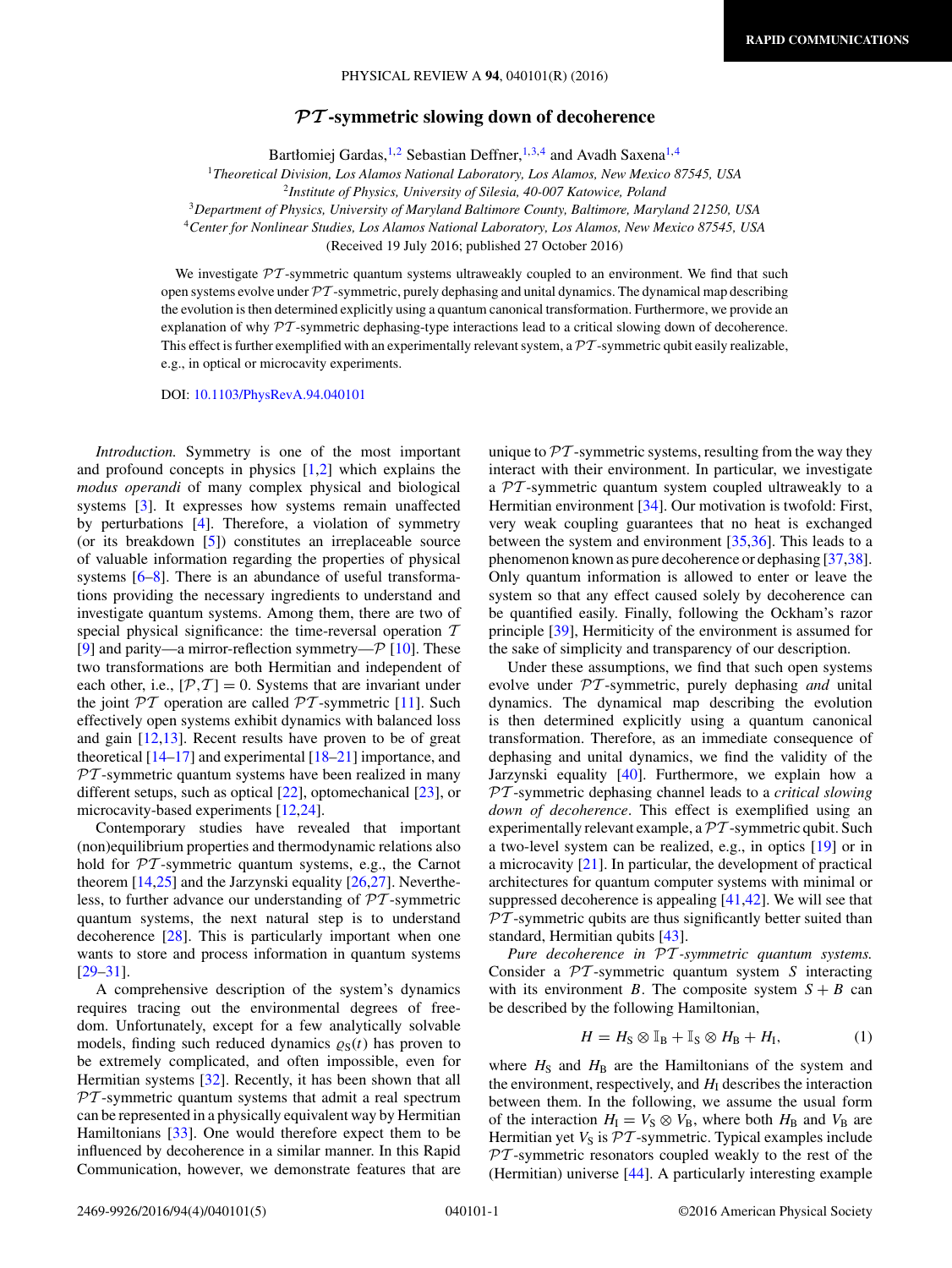## *PT* **-symmetric slowing down of decoherence**

Bartłomiej Gardas, <sup>1,2</sup> Sebastian Deffner, <sup>1,3,4</sup> and Avadh Saxena<sup>1,4</sup>

<span id="page-0-0"></span><sup>1</sup>*Theoretical Division, Los Alamos National Laboratory, Los Alamos, New Mexico 87545, USA*

<sup>2</sup>*Institute of Physics, University of Silesia, 40-007 Katowice, Poland*

<sup>3</sup>*Department of Physics, University of Maryland Baltimore County, Baltimore, Maryland 21250, USA*

<sup>4</sup>*Center for Nonlinear Studies, Los Alamos National Laboratory, Los Alamos, New Mexico 87545, USA*

(Received 19 July 2016; published 27 October 2016)

We investigate  $\mathcal{PT}$ -symmetric quantum systems ultraweakly coupled to an environment. We find that such open systems evolve under  $\mathcal{P}\mathcal{T}$ -symmetric, purely dephasing and unital dynamics. The dynamical map describing the evolution is then determined explicitly using a quantum canonical transformation. Furthermore, we provide an explanation of why PT -symmetric dephasing-type interactions lead to a critical slowing down of decoherence. This effect is further exemplified with an experimentally relevant system, a  $\mathcal{PT}$ -symmetric qubit easily realizable, e.g., in optical or microcavity experiments.

DOI: [10.1103/PhysRevA.94.040101](https://doi.org/10.1103/PhysRevA.94.040101)

*Introduction.* Symmetry is one of the most important and profound concepts in physics [\[1,2\]](#page-3-0) which explains the *modus operandi* of many complex physical and biological systems [\[3\]](#page-3-0). It expresses how systems remain unaffected by perturbations [\[4\]](#page-3-0). Therefore, a violation of symmetry (or its breakdown [\[5\]](#page-3-0)) constitutes an irreplaceable source of valuable information regarding the properties of physical systems [\[6–8\]](#page-3-0). There is an abundance of useful transformations providing the necessary ingredients to understand and investigate quantum systems. Among them, there are two of special physical significance: the time-reversal operation  $T$ [\[9\]](#page-3-0) and parity—a mirror-reflection symmetry— $\mathcal{P}$  [\[10\]](#page-3-0). These two transformations are both Hermitian and independent of each other, i.e.,  $[\mathcal{P}, \mathcal{T}] = 0$ . Systems that are invariant under the joint  $\mathcal{P}\mathcal{T}$  operation are called  $\mathcal{P}\mathcal{T}$ -symmetric [\[11\]](#page-3-0). Such effectively open systems exhibit dynamics with balanced loss and gain [\[12,13\]](#page-3-0). Recent results have proven to be of great theoretical  $[14–17]$  and experimental  $[18–21]$  importance, and  $PT$ -symmetric quantum systems have been realized in many different setups, such as optical [\[22\]](#page-3-0), optomechanical [\[23\]](#page-3-0), or microcavity-based experiments [\[12,24\]](#page-3-0).

Contemporary studies have revealed that important (non)equilibrium properties and thermodynamic relations also hold for PT -symmetric quantum systems, e.g., the Carnot theorem [\[14,25\]](#page-3-0) and the Jarzynski equality [\[26,27\]](#page-3-0). Nevertheless, to further advance our understanding of PT -symmetric quantum systems, the next natural step is to understand decoherence [\[28\]](#page-3-0). This is particularly important when one wants to store and process information in quantum systems [\[29](#page-3-0)[–31\]](#page-4-0).

A comprehensive description of the system's dynamics requires tracing out the environmental degrees of freedom. Unfortunately, except for a few analytically solvable models, finding such reduced dynamics  $\rho_S(t)$  has proven to be extremely complicated, and often impossible, even for Hermitian systems [\[32\]](#page-4-0). Recently, it has been shown that all  $PT$ -symmetric quantum systems that admit a real spectrum can be represented in a physically equivalent way by Hermitian Hamiltonians [\[33\]](#page-4-0). One would therefore expect them to be influenced by decoherence in a similar manner. In this Rapid Communication, however, we demonstrate features that are

unique to  $\mathcal{P}\mathcal{T}$ -symmetric systems, resulting from the way they interact with their environment. In particular, we investigate a  $PT$ -symmetric quantum system coupled ultraweakly to a Hermitian environment [\[34\]](#page-4-0). Our motivation is twofold: First, very weak coupling guarantees that no heat is exchanged between the system and environment [\[35,36\]](#page-4-0). This leads to a phenomenon known as pure decoherence or dephasing [\[37,38\]](#page-4-0). Only quantum information is allowed to enter or leave the system so that any effect caused solely by decoherence can be quantified easily. Finally, following the Ockham's razor principle [\[39\]](#page-4-0), Hermiticity of the environment is assumed for the sake of simplicity and transparency of our description.

Under these assumptions, we find that such open systems evolve under PT -symmetric, purely dephasing *and* unital dynamics. The dynamical map describing the evolution is then determined explicitly using a quantum canonical transformation. Therefore, as an immediate consequence of dephasing and unital dynamics, we find the validity of the Jarzynski equality [\[40\]](#page-4-0). Furthermore, we explain how a PT -symmetric dephasing channel leads to a *critical slowing down of decoherence*. This effect is exemplified using an experimentally relevant example, a  $\mathcal{P}\mathcal{T}$ -symmetric qubit. Such a two-level system can be realized, e.g., in optics [\[19\]](#page-3-0) or in a microcavity [\[21\]](#page-3-0). In particular, the development of practical architectures for quantum computer systems with minimal or suppressed decoherence is appealing [\[41,42\]](#page-4-0). We will see that  $PT$ -symmetric qubits are thus significantly better suited than standard, Hermitian qubits [\[43\]](#page-4-0).

*Pure decoherence in* PT *-symmetric quantum systems.* Consider a PT -symmetric quantum system *S* interacting with its environment *B*. The composite system  $S + B$  can be described by the following Hamiltonian,

$$
H = H_{\rm S} \otimes \mathbb{I}_{\rm B} + \mathbb{I}_{\rm S} \otimes H_{\rm B} + H_{\rm I},\tag{1}
$$

where  $H<sub>S</sub>$  and  $H<sub>B</sub>$  are the Hamiltonians of the system and the environment, respectively, and  $H<sub>I</sub>$  describes the interaction between them. In the following, we assume the usual form of the interaction  $H_I = V_S \otimes V_B$ , where both  $H_B$  and  $V_B$  are Hermitian yet  $V_S$  is  $\mathcal{PT}$ -symmetric. Typical examples include  $PT$ -symmetric resonators coupled weakly to the rest of the (Hermitian) universe [\[44\]](#page-4-0). A particularly interesting example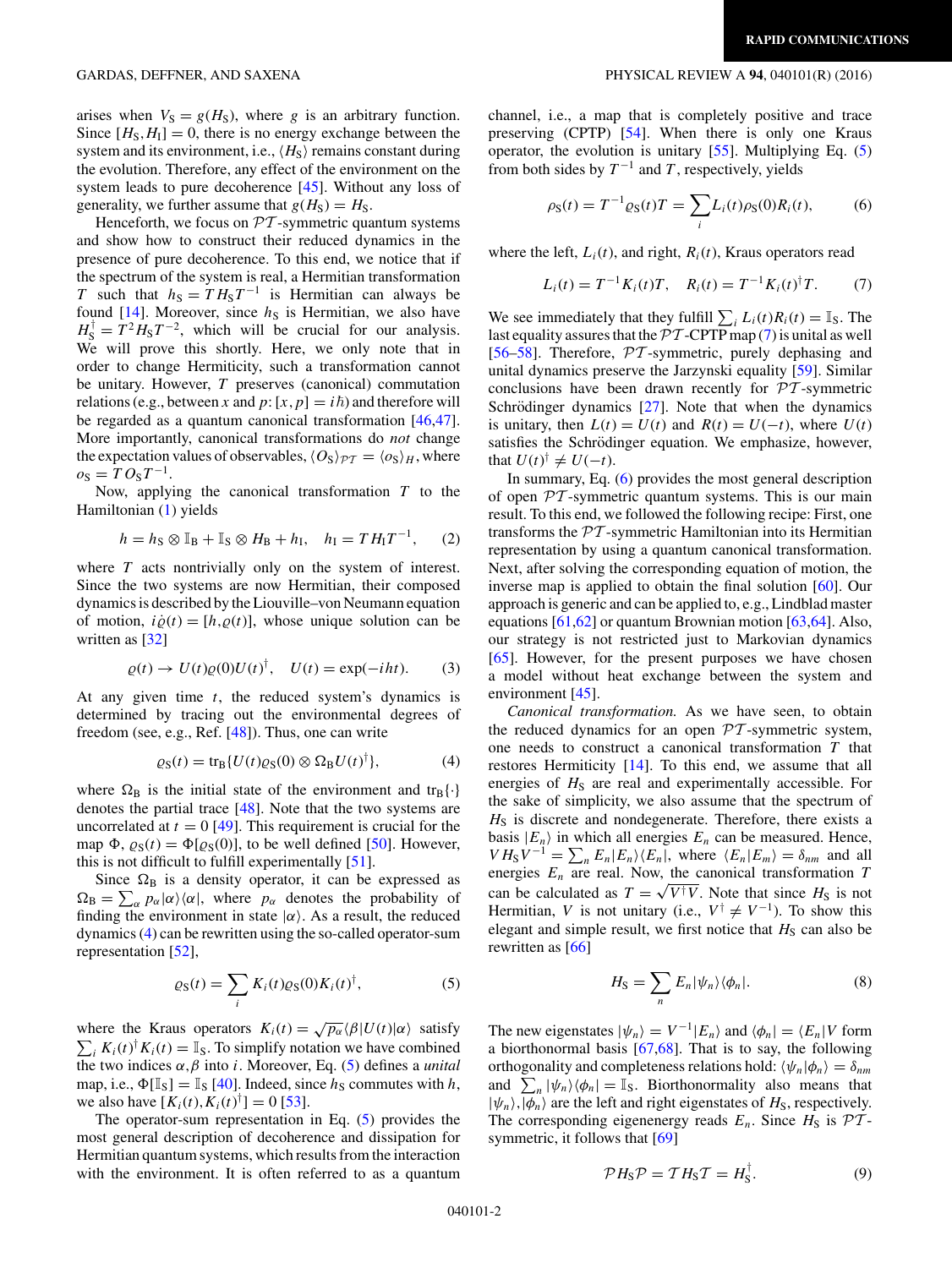arises when  $V_s = g(H_s)$ , where *g* is an arbitrary function. Since  $[H<sub>S</sub>, H<sub>I</sub>] = 0$ , there is no energy exchange between the system and its environment, i.e.,  $\langle H_{\rm S} \rangle$  remains constant during the evolution. Therefore, any effect of the environment on the system leads to pure decoherence [\[45\]](#page-4-0). Without any loss of generality, we further assume that  $g(H<sub>S</sub>) = H<sub>S</sub>$ .

Henceforth, we focus on  $\mathcal{PT}$ -symmetric quantum systems and show how to construct their reduced dynamics in the presence of pure decoherence. To this end, we notice that if the spectrum of the system is real, a Hermitian transformation *T* such that  $h_S = T H_S T^{-1}$  is Hermitian can always be found  $[14]$ . Moreover, since  $h<sub>S</sub>$  is Hermitian, we also have  $H_{\rm S}^{\dagger} = T^2 H_{\rm S} T^{-2}$ , which will be crucial for our analysis. We will prove this shortly. Here, we only note that in order to change Hermiticity, such a transformation cannot be unitary. However, *T* preserves (canonical) commutation relations (e.g., between *x* and *p*:  $[x, p] = i\hbar$ ) and therefore will be regarded as a quantum canonical transformation [\[46,47\]](#page-4-0). More importantly, canonical transformations do *not* change the expectation values of observables,  $\langle O_S \rangle_{PT} = \langle o_S \rangle_H$ , where  $o_S = T O_S T^{-1}$ .

Now, applying the canonical transformation *T* to the Hamiltonian [\(1\)](#page-0-0) yields

$$
h = h_{\rm S} \otimes \mathbb{I}_{\rm B} + \mathbb{I}_{\rm S} \otimes H_{\rm B} + h_{\rm I}, \quad h_{\rm I} = T H_{\rm I} T^{-1}, \quad (2)
$$

where *T* acts nontrivially only on the system of interest. Since the two systems are now Hermitian, their composed dynamics is described by the Liouville–von Neumann equation of motion,  $i\dot{\varrho}(t) = [h, \varrho(t)],$  whose unique solution can be written as [\[32\]](#page-4-0)

$$
\varrho(t) \to U(t)\varrho(0)U(t)^{\dagger}, \quad U(t) = \exp(-iht). \tag{3}
$$

At any given time *t*, the reduced system's dynamics is determined by tracing out the environmental degrees of freedom (see, e.g., Ref. [\[48\]](#page-4-0)). Thus, one can write

$$
\varrho_{\rm S}(t) = \text{tr}_{\rm B}\{U(t)\varrho_{\rm S}(0) \otimes \Omega_{\rm B}U(t)^{\dagger}\},\tag{4}
$$

where  $\Omega_{\rm B}$  is the initial state of the environment and tr<sub>B</sub>{·} denotes the partial trace [\[48\]](#page-4-0). Note that the two systems are uncorrelated at  $t = 0$  [\[49\]](#page-4-0). This requirement is crucial for the map  $\Phi$ ,  $\varrho_S(t) = \Phi[\varrho_S(0)]$ , to be well defined [\[50\]](#page-4-0). However, this is not difficult to fulfill experimentally [\[51\]](#page-4-0).

Since  $\Omega_B$  is a density operator, it can be expressed as  $\Omega_{\rm B} = \sum_{\alpha} p_{\alpha} |\alpha\rangle\langle\alpha|$ , where  $p_{\alpha}$  denotes the probability of finding the environment in state  $|\alpha\rangle$ . As a result, the reduced dynamics (4) can be rewritten using the so-called operator-sum representation [\[52\]](#page-4-0),

$$
\varrho_{\rm S}(t) = \sum_{i} K_i(t) \varrho_{\rm S}(0) K_i(t)^{\dagger}, \tag{5}
$$

where the Kraus operators  $K_i(t) = \sqrt{p_\alpha} \langle \beta | U(t) | \alpha \rangle$  satisfy  $\sum_i K_i(t)^\dagger K_i(t) = \mathbb{I}_S$ . To simplify notation we have combined the two indices *α,β* into *i*. Moreover, Eq. (5) defines a *unital* map, i.e.,  $\Phi[\mathbb{I}_S] = \mathbb{I}_S$  [\[40\]](#page-4-0). Indeed, since *h<sub>S</sub>* commutes with *h*, we also have  $[K_i(t), K_i(t)^{\dagger}] = 0$  [\[53\]](#page-4-0).

The operator-sum representation in Eq. (5) provides the most general description of decoherence and dissipation for Hermitian quantum systems, which results from the interaction with the environment. It is often referred to as a quantum

## <span id="page-1-0"></span>GARDAS, DEFFNER, AND SAXENA PHYSICAL REVIEW A **94**, 040101(R) (2016)

channel, i.e., a map that is completely positive and trace preserving (CPTP) [\[54\]](#page-4-0). When there is only one Kraus operator, the evolution is unitary  $[55]$ . Multiplying Eq.  $(5)$ from both sides by  $T^{-1}$  and *T*, respectively, yields

$$
\rho_{\rm S}(t) = T^{-1} \varrho_{\rm S}(t) T = \sum_{i} L_i(t) \rho_{\rm S}(0) R_i(t), \tag{6}
$$

where the left,  $L_i(t)$ , and right,  $R_i(t)$ , Kraus operators read

$$
L_i(t) = T^{-1} K_i(t) T, \quad R_i(t) = T^{-1} K_i(t)^{\dagger} T. \tag{7}
$$

We see immediately that they fulfill  $\sum_i L_i(t) R_i(t) = \mathbb{I}_S$ . The last equality assures that the  $\mathcal{PT}$ -CPTP map (7) is unital as well [\[56–58\]](#page-4-0). Therefore,  $\mathcal{PT}$ -symmetric, purely dephasing and unital dynamics preserve the Jarzynski equality [\[59\]](#page-4-0). Similar conclusions have been drawn recently for  $PT$ -symmetric Schrödinger dynamics  $[27]$  $[27]$ . Note that when the dynamics is unitary, then  $L(t) = U(t)$  and  $R(t) = U(-t)$ , where  $U(t)$ satisfies the Schrödinger equation. We emphasize, however, that  $U(t)^{\dagger} \neq U(-t)$ .

In summary, Eq. (6) provides the most general description of open  $PT$ -symmetric quantum systems. This is our main result. To this end, we followed the following recipe: First, one transforms the  $PT$ -symmetric Hamiltonian into its Hermitian representation by using a quantum canonical transformation. Next, after solving the corresponding equation of motion, the inverse map is applied to obtain the final solution [\[60\]](#page-4-0). Our approach is generic and can be applied to, e.g., Lindblad master equations [\[61,62\]](#page-4-0) or quantum Brownian motion [\[63,64\]](#page-4-0). Also, our strategy is not restricted just to Markovian dynamics [\[65\]](#page-4-0). However, for the present purposes we have chosen a model without heat exchange between the system and environment [\[45\]](#page-4-0).

*Canonical transformation.* As we have seen, to obtain the reduced dynamics for an open  $PT$ -symmetric system, one needs to construct a canonical transformation *T* that restores Hermiticity [\[14\]](#page-3-0). To this end, we assume that all energies of  $H<sub>S</sub>$  are real and experimentally accessible. For the sake of simplicity, we also assume that the spectrum of  $H<sub>S</sub>$  is discrete and nondegenerate. Therefore, there exists a basis  $|E_n\rangle$  in which all energies  $E_n$  can be measured. Hence,  $V H_S V^{-1} = \sum_n E_n |E_n\rangle\langle E_n|$ , where  $\langle E_n|E_m\rangle = \delta_{nm}$  and all energies  $E_n$  are real. Now, the canonical transformation  $T$ energies  $E_n$  are real. Now, the canonical transformation *I* can be calculated as  $T = \sqrt{V^{\dagger}V}$ . Note that since  $H_S$  is not Hermitian, *V* is not unitary (i.e.,  $V^{\dagger} \neq V^{-1}$ ). To show this elegant and simple result, we first notice that  $H<sub>S</sub>$  can also be rewritten as [\[66\]](#page-4-0)

$$
H_{\rm S} = \sum_{n} E_n |\psi_n\rangle\langle\phi_n|.
$$
 (8)

The new eigenstates  $|\psi_n\rangle = V^{-1}|E_n\rangle$  and  $|\phi_n| = \langle E_n|V$  form a biorthonormal basis [\[67,68\]](#page-4-0). That is to say, the following orthogonality and completeness relations hold:  $\langle \psi_n | \phi_n \rangle = \delta_{nm}$ and  $\sum_{n} |\psi_n\rangle \langle \phi_n| = \mathbb{I}_S$ . Biorthonormality also means that  $|\psi_n\rangle$ ,  $|\phi_n\rangle$  are the left and right eigenstates of  $H_S$ , respectively. The corresponding eigenenergy reads  $E_n$ . Since  $H_S$  is  $\mathcal{PT}$ -symmetric, it follows that [\[69\]](#page-4-0)

$$
\mathcal{P}H_{\rm S}\mathcal{P} = \mathcal{T}H_{\rm S}\mathcal{T} = H_{\rm S}^{\dagger}.
$$
 (9)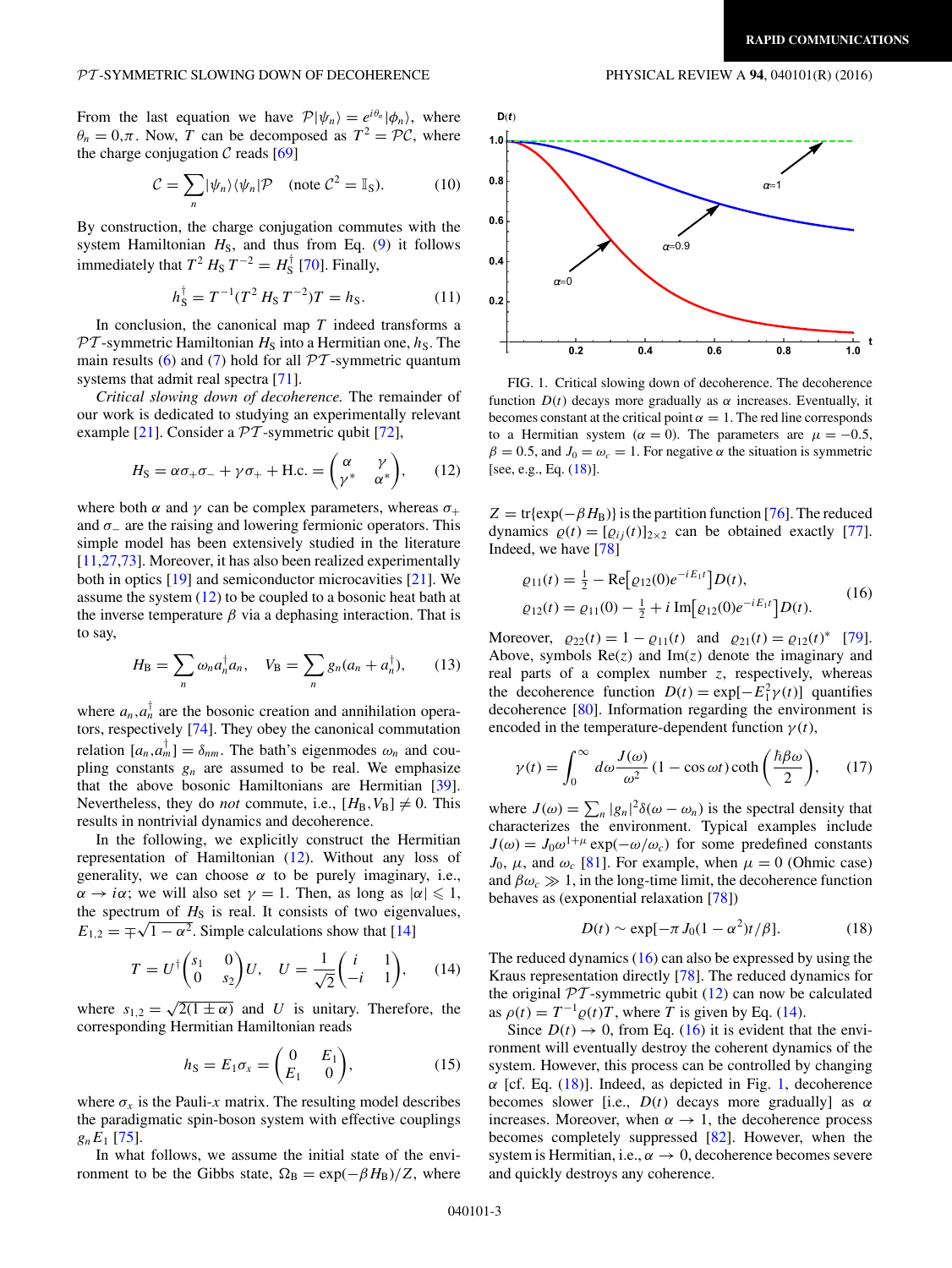From the last equation we have  $P|\psi_n\rangle = e^{i\theta_n}|\phi_n\rangle$ , where  $\theta_n = 0, \pi$ . Now, *T* can be decomposed as  $T^2 = \mathcal{PC}$ , where the charge conjugation  $C$  reads  $[69]$ 

$$
C = \sum_{n} |\psi_n\rangle \langle \psi_n| \mathcal{P} \quad \text{(note } \mathcal{C}^2 = \mathbb{I}_{\mathcal{S}}). \tag{10}
$$

By construction, the charge conjugation commutes with the system Hamiltonian  $H_S$ , and thus from Eq. [\(9\)](#page-1-0) it follows immediately that  $T^2 H_S T^{-2} = H_S^{\dagger}$  [\[70\]](#page-4-0). Finally,

$$
h_S^{\dagger} = T^{-1}(T^2 H_S T^{-2})T = h_S.
$$
 (11)

In conclusion, the canonical map *T* indeed transforms a  $PT$ -symmetric Hamiltonian  $H_S$  into a Hermitian one,  $h_S$ . The main results  $(6)$  and  $(7)$  hold for all  $\mathcal{PT}$ -symmetric quantum systems that admit real spectra [\[71\]](#page-4-0).

*Critical slowing down of decoherence.* The remainder of our work is dedicated to studying an experimentally relevant example [\[21\]](#page-3-0). Consider a  $\mathcal{P}\mathcal{T}$ -symmetric qubit [\[72\]](#page-4-0),

$$
H_{\rm S} = \alpha \sigma_{+} \sigma_{-} + \gamma \sigma_{+} + \text{H.c.} = \begin{pmatrix} \alpha & \gamma \\ \gamma^* & \alpha^* \end{pmatrix},\qquad(12)
$$

where both  $\alpha$  and  $\gamma$  can be complex parameters, whereas  $\sigma_{+}$ and  $\sigma$ <sub>−</sub> are the raising and lowering fermionic operators. This simple model has been extensively studied in the literature [\[11,27](#page-3-0)[,73\]](#page-4-0). Moreover, it has also been realized experimentally both in optics [\[19\]](#page-3-0) and semiconductor microcavities [\[21\]](#page-3-0). We assume the system  $(12)$  to be coupled to a bosonic heat bath at the inverse temperature  $\beta$  via a dephasing interaction. That is to say,

$$
H_{\rm B} = \sum_{n} \omega_n a_n^{\dagger} a_n, \quad V_{\rm B} = \sum_{n} g_n (a_n + a_n^{\dagger}), \qquad (13)
$$

where  $a_n, a_n^{\dagger}$  are the bosonic creation and annihilation operators, respectively [\[74\]](#page-4-0). They obey the canonical commutation relation  $[a_n, a_m] = \delta_{nm}$ . The bath's eigenmodes  $\omega_n$  and coupling constants  $g_n$  are assumed to be real. We emphasize that the above bosonic Hamiltonians are Hermitian [\[39\]](#page-4-0). Nevertheless, they do *not* commute, i.e.,  $[H_B, V_B] \neq 0$ . This results in nontrivial dynamics and decoherence.

In the following, we explicitly construct the Hermitian representation of Hamiltonian (12). Without any loss of generality, we can choose  $\alpha$  to be purely imaginary, i.e.,  $\alpha \rightarrow i\alpha$ ; we will also set  $\gamma = 1$ . Then, as long as  $|\alpha| \leq 1$ , the spectrum of  $H<sub>S</sub>$  is real. It consists of two eigenvalues,  $E_{1,2} = \pm \sqrt{1 - \alpha^2}$ . Simple calculations show that [\[14\]](#page-3-0)

$$
T = U^{\dagger} \begin{pmatrix} s_1 & 0 \\ 0 & s_2 \end{pmatrix} U, \quad U = \frac{1}{\sqrt{2}} \begin{pmatrix} i & 1 \\ -i & 1 \end{pmatrix}, \tag{14}
$$

where  $s_{1,2} = \sqrt{2(1 \pm \alpha)}$  and *U* is unitary. Therefore, the corresponding Hermitian Hamiltonian reads

$$
h_{\rm S}=E_1\sigma_x=\begin{pmatrix}0&E_1\\E_1&0\end{pmatrix},\qquad(15)
$$

where  $\sigma_x$  is the Pauli-*x* matrix. The resulting model describes the paradigmatic spin-boson system with effective couplings *gnE*<sup>1</sup> [\[75\]](#page-4-0).

In what follows, we assume the initial state of the environment to be the Gibbs state,  $\Omega_B = \exp(-\beta H_B)/Z$ , where



FIG. 1. Critical slowing down of decoherence. The decoherence function  $D(t)$  decays more gradually as  $\alpha$  increases. Eventually, it becomes constant at the critical point  $\alpha = 1$ . The red line corresponds to a Hermitian system ( $\alpha = 0$ ). The parameters are  $\mu = -0.5$ ,  $\beta = 0.5$ , and  $J_0 = \omega_c = 1$ . For negative  $\alpha$  the situation is symmetric [see, e.g., Eq. (18)].

 $Z = \text{tr}\{\exp(-\beta H_B)\}\$ is the partition function [\[76\]](#page-4-0). The reduced dynamics  $\rho(t) = [\rho_{ij}(t)]_{2 \times 2}$  can be obtained exactly [\[77\]](#page-4-0). Indeed, we have [\[78\]](#page-4-0)

$$
\varrho_{11}(t) = \frac{1}{2} - \text{Re}[\varrho_{12}(0)e^{-iE_1t}]D(t),
$$
  
\n
$$
\varrho_{12}(t) = \varrho_{11}(0) - \frac{1}{2} + i \text{Im}[\varrho_{12}(0)e^{-iE_1t}]D(t).
$$
\n(16)

Moreover,  $\varrho_{22}(t) = 1 - \varrho_{11}(t)$  and  $\varrho_{21}(t) = \varrho_{12}(t)^*$  [\[79\]](#page-4-0). Above, symbols Re(*z*) and Im(*z*) denote the imaginary and real parts of a complex number *z*, respectively, whereas the decoherence function  $D(t) = \exp[-E_1^2 \gamma(t)]$  quantifies decoherence [\[80\]](#page-4-0). Information regarding the environment is encoded in the temperature-dependent function  $\gamma(t)$ ,

$$
\gamma(t) = \int_0^\infty d\omega \frac{J(\omega)}{\omega^2} (1 - \cos \omega t) \coth\left(\frac{\hbar \beta \omega}{2}\right),\qquad(17)
$$

where  $J(\omega) = \sum_{n} |g_n|^2 \delta(\omega - \omega_n)$  is the spectral density that characterizes the environment. Typical examples include  $J(\omega) = J_0 \omega^{1+\mu} \exp(-\omega/\omega_c)$  for some predefined constants *J*<sub>0</sub>, *μ*, and  $ω_c$  [\[81\]](#page-4-0). For example, when  $μ = 0$  (Ohmic case) and  $\beta \omega_c \gg 1$ , in the long-time limit, the decoherence function behaves as (exponential relaxation [\[78\]](#page-4-0))

$$
D(t) \sim \exp[-\pi J_0 (1 - \alpha^2)t/\beta].
$$
 (18)

The reduced dynamics (16) can also be expressed by using the Kraus representation directly [\[78\]](#page-4-0). The reduced dynamics for the original  $PT$ -symmetric qubit (12) can now be calculated as  $\rho(t) = T^{-1} \rho(t)T$ , where *T* is given by Eq. (14).

Since  $D(t) \rightarrow 0$ , from Eq. (16) it is evident that the environment will eventually destroy the coherent dynamics of the system. However, this process can be controlled by changing  $\alpha$  [cf. Eq. (18)]. Indeed, as depicted in Fig. 1, decoherence becomes slower [i.e., *D*(*t*) decays more gradually] as *α* increases. Moreover, when  $\alpha \rightarrow 1$ , the decoherence process becomes completely suppressed [\[82\]](#page-4-0). However, when the system is Hermitian, i.e.,  $\alpha \rightarrow 0$ , decoherence becomes severe and quickly destroys any coherence.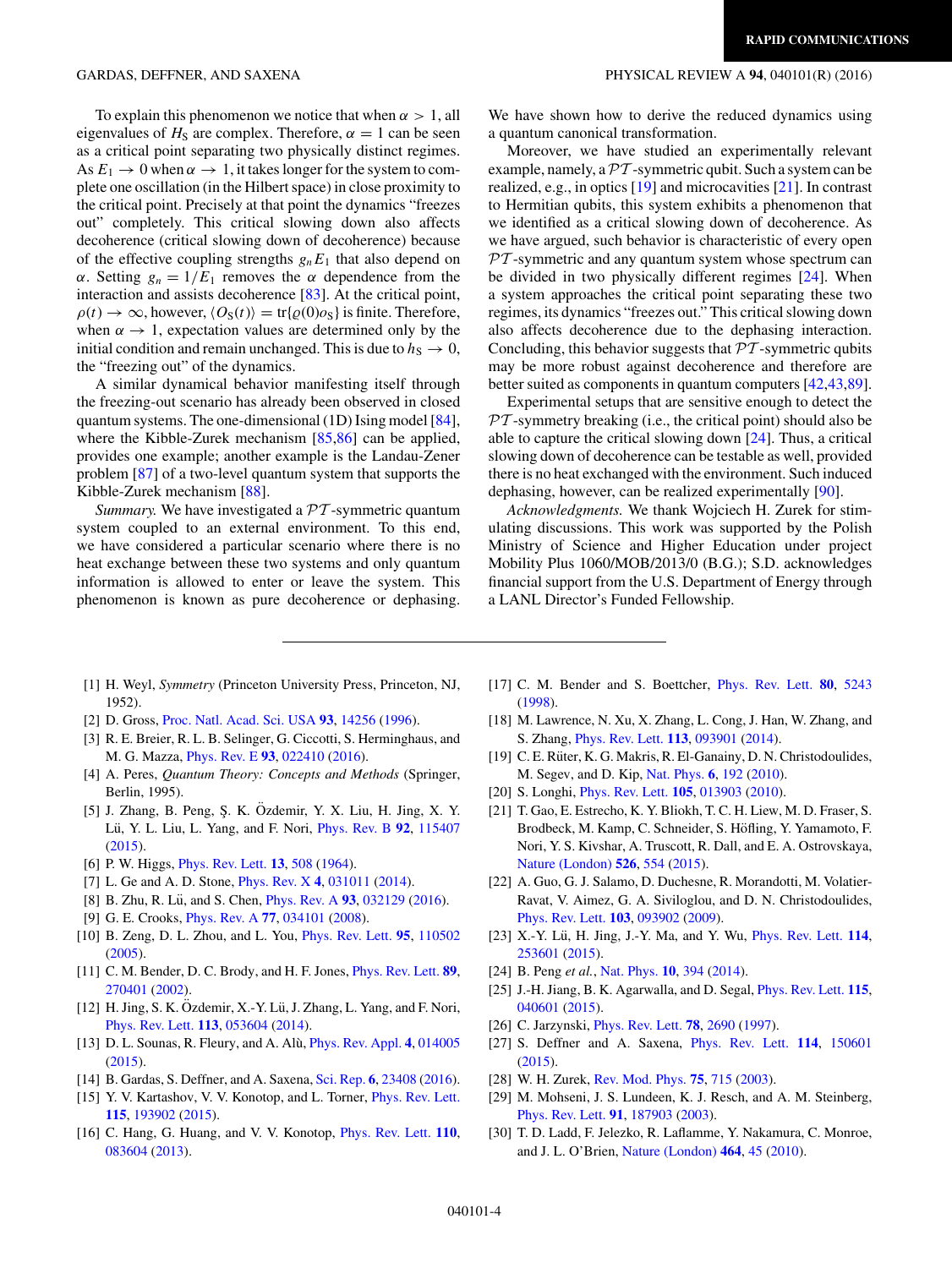<span id="page-3-0"></span>To explain this phenomenon we notice that when  $\alpha > 1$ , all eigenvalues of  $H_S$  are complex. Therefore,  $\alpha = 1$  can be seen as a critical point separating two physically distinct regimes. As  $E_1 \rightarrow 0$  when  $\alpha \rightarrow 1$ , it takes longer for the system to complete one oscillation (in the Hilbert space) in close proximity to the critical point. Precisely at that point the dynamics "freezes out" completely. This critical slowing down also affects decoherence (critical slowing down of decoherence) because of the effective coupling strengths  $g_nE_1$  that also depend on *α*. Setting  $g_n = 1/E_1$  removes the *α* dependence from the interaction and assists decoherence [\[83\]](#page-4-0). At the critical point,  $\rho(t) \to \infty$ , however,  $\langle O_S(t) \rangle = \text{tr}\lbrace \rho(0) \rho_S \rbrace$  is finite. Therefore, when  $\alpha \rightarrow 1$ , expectation values are determined only by the initial condition and remain unchanged. This is due to  $h<sub>S</sub> \rightarrow 0$ , the "freezing out" of the dynamics.

A similar dynamical behavior manifesting itself through the freezing-out scenario has already been observed in closed quantum systems. The one-dimensional (1D) Ising model [\[84\]](#page-4-0), where the Kibble-Zurek mechanism [\[85,86\]](#page-4-0) can be applied, provides one example; another example is the Landau-Zener problem [\[87\]](#page-4-0) of a two-level quantum system that supports the Kibble-Zurek mechanism [\[88\]](#page-4-0).

*Summary.* We have investigated a  $\mathcal{PT}$ -symmetric quantum system coupled to an external environment. To this end, we have considered a particular scenario where there is no heat exchange between these two systems and only quantum information is allowed to enter or leave the system. This phenomenon is known as pure decoherence or dephasing.

We have shown how to derive the reduced dynamics using a quantum canonical transformation.

Moreover, we have studied an experimentally relevant example, namely, a  $\mathcal{PT}$ -symmetric qubit. Such a system can be realized, e.g., in optics [19] and microcavities [21]. In contrast to Hermitian qubits, this system exhibits a phenomenon that we identified as a critical slowing down of decoherence. As we have argued, such behavior is characteristic of every open  $PT$ -symmetric and any quantum system whose spectrum can be divided in two physically different regimes [24]. When a system approaches the critical point separating these two regimes, its dynamics "freezes out." This critical slowing down also affects decoherence due to the dephasing interaction. Concluding, this behavior suggests that  $PT$ -symmetric qubits may be more robust against decoherence and therefore are better suited as components in quantum computers [\[42,43,89\]](#page-4-0).

Experimental setups that are sensitive enough to detect the  $PT$ -symmetry breaking (i.e., the critical point) should also be able to capture the critical slowing down [24]. Thus, a critical slowing down of decoherence can be testable as well, provided there is no heat exchanged with the environment. Such induced dephasing, however, can be realized experimentally [\[90\]](#page-4-0).

*Acknowledgments.* We thank Wojciech H. Zurek for stimulating discussions. This work was supported by the Polish Ministry of Science and Higher Education under project Mobility Plus 1060/MOB/2013/0 (B.G.); S.D. acknowledges financial support from the U.S. Department of Energy through a LANL Director's Funded Fellowship.

- [1] H. Weyl, *Symmetry* (Princeton University Press, Princeton, NJ, 1952).
- [2] D. Gross, [Proc. Natl. Acad. Sci. USA](https://doi.org/10.1073/pnas.93.25.14256) **[93](https://doi.org/10.1073/pnas.93.25.14256)**, [14256](https://doi.org/10.1073/pnas.93.25.14256) [\(1996\)](https://doi.org/10.1073/pnas.93.25.14256).
- [3] R. E. Breier, R. L. B. Selinger, G. Ciccotti, S. Herminghaus, and M. G. Mazza, [Phys. Rev. E](https://doi.org/10.1103/PhysRevE.93.022410) **[93](https://doi.org/10.1103/PhysRevE.93.022410)**, [022410](https://doi.org/10.1103/PhysRevE.93.022410) [\(2016\)](https://doi.org/10.1103/PhysRevE.93.022410).
- [4] A. Peres, *Quantum Theory: Concepts and Methods* (Springer, Berlin, 1995).
- [5] J. Zhang, B. Peng, S¸. K. Ozdemir, Y. X. Liu, H. Jing, X. Y. ¨ Lü, Y. L. Liu, L. Yang, and F. Nori, *[Phys. Rev. B](https://doi.org/10.1103/PhysRevB.92.115407)* [92](https://doi.org/10.1103/PhysRevB.92.115407), [115407](https://doi.org/10.1103/PhysRevB.92.115407) [\(2015\)](https://doi.org/10.1103/PhysRevB.92.115407).
- [6] P. W. Higgs, [Phys. Rev. Lett.](https://doi.org/10.1103/PhysRevLett.13.508) **[13](https://doi.org/10.1103/PhysRevLett.13.508)**, [508](https://doi.org/10.1103/PhysRevLett.13.508) [\(1964\)](https://doi.org/10.1103/PhysRevLett.13.508).
- [7] L. Ge and A. D. Stone, [Phys. Rev. X](https://doi.org/10.1103/PhysRevX.4.031011) **[4](https://doi.org/10.1103/PhysRevX.4.031011)**, [031011](https://doi.org/10.1103/PhysRevX.4.031011) [\(2014\)](https://doi.org/10.1103/PhysRevX.4.031011).
- [8] B. Zhu, R. Lü, and S. Chen, *[Phys. Rev. A](https://doi.org/10.1103/PhysRevA.93.032129)* **[93](https://doi.org/10.1103/PhysRevA.93.032129)**, [032129](https://doi.org/10.1103/PhysRevA.93.032129) [\(2016\)](https://doi.org/10.1103/PhysRevA.93.032129).
- [9] G. E. Crooks, [Phys. Rev. A](https://doi.org/10.1103/PhysRevA.77.034101) **[77](https://doi.org/10.1103/PhysRevA.77.034101)**, [034101](https://doi.org/10.1103/PhysRevA.77.034101) [\(2008\)](https://doi.org/10.1103/PhysRevA.77.034101).
- [10] B. Zeng, D. L. Zhou, and L. You, [Phys. Rev. Lett.](https://doi.org/10.1103/PhysRevLett.95.110502) **[95](https://doi.org/10.1103/PhysRevLett.95.110502)**, [110502](https://doi.org/10.1103/PhysRevLett.95.110502) [\(2005\)](https://doi.org/10.1103/PhysRevLett.95.110502).
- [11] C. M. Bender, D. C. Brody, and H. F. Jones, [Phys. Rev. Lett.](https://doi.org/10.1103/PhysRevLett.89.270401) **[89](https://doi.org/10.1103/PhysRevLett.89.270401)**, [270401](https://doi.org/10.1103/PhysRevLett.89.270401) [\(2002\)](https://doi.org/10.1103/PhysRevLett.89.270401).
- $[12]$  H. Jing, S. K. Özdemir, X.-Y. Lü, J. Zhang, L. Yang, and F. Nori, [Phys. Rev. Lett.](https://doi.org/10.1103/PhysRevLett.113.053604) **[113](https://doi.org/10.1103/PhysRevLett.113.053604)**, [053604](https://doi.org/10.1103/PhysRevLett.113.053604) [\(2014\)](https://doi.org/10.1103/PhysRevLett.113.053604).
- [13] D. L. Sounas, R. Fleury, and A. Alù, *[Phys. Rev. Appl.](https://doi.org/10.1103/PhysRevApplied.4.014005) [4](https://doi.org/10.1103/PhysRevApplied.4.014005)*, [014005](https://doi.org/10.1103/PhysRevApplied.4.014005) [\(2015\)](https://doi.org/10.1103/PhysRevApplied.4.014005).
- [14] B. Gardas, S. Deffner, and A. Saxena, [Sci. Rep.](https://doi.org/10.1038/srep23408) **[6](https://doi.org/10.1038/srep23408)**, [23408](https://doi.org/10.1038/srep23408) [\(2016\)](https://doi.org/10.1038/srep23408).
- [15] Y. V. Kartashov, V. V. Konotop, and L. Torner, *[Phys. Rev. Lett.](https://doi.org/10.1103/PhysRevLett.115.193902)* **[115](https://doi.org/10.1103/PhysRevLett.115.193902)**, [193902](https://doi.org/10.1103/PhysRevLett.115.193902) [\(2015\)](https://doi.org/10.1103/PhysRevLett.115.193902).
- [16] C. Hang, G. Huang, and V. V. Konotop, [Phys. Rev. Lett.](https://doi.org/10.1103/PhysRevLett.110.083604) **[110](https://doi.org/10.1103/PhysRevLett.110.083604)**, [083604](https://doi.org/10.1103/PhysRevLett.110.083604) [\(2013\)](https://doi.org/10.1103/PhysRevLett.110.083604).
- [17] C. M. Bender and S. Boettcher, [Phys. Rev. Lett.](https://doi.org/10.1103/PhysRevLett.80.5243) **[80](https://doi.org/10.1103/PhysRevLett.80.5243)**, [5243](https://doi.org/10.1103/PhysRevLett.80.5243) [\(1998\)](https://doi.org/10.1103/PhysRevLett.80.5243).
- [18] M. Lawrence, N. Xu, X. Zhang, L. Cong, J. Han, W. Zhang, and S. Zhang, [Phys. Rev. Lett.](https://doi.org/10.1103/PhysRevLett.113.093901) **[113](https://doi.org/10.1103/PhysRevLett.113.093901)**, [093901](https://doi.org/10.1103/PhysRevLett.113.093901) [\(2014\)](https://doi.org/10.1103/PhysRevLett.113.093901).
- [19] C. E. Rüter, K. G. Makris, R. El-Ganainy, D. N. Christodoulides, M. Segev, and D. Kip, [Nat. Phys.](https://doi.org/10.1038/nphys1515) **[6](https://doi.org/10.1038/nphys1515)**, [192](https://doi.org/10.1038/nphys1515) [\(2010\)](https://doi.org/10.1038/nphys1515).
- [20] S. Longhi, [Phys. Rev. Lett.](https://doi.org/10.1103/PhysRevLett.105.013903) **[105](https://doi.org/10.1103/PhysRevLett.105.013903)**, [013903](https://doi.org/10.1103/PhysRevLett.105.013903) [\(2010\)](https://doi.org/10.1103/PhysRevLett.105.013903).
- [21] T. Gao, E. Estrecho, K. Y. Bliokh, T. C. H. Liew, M. D. Fraser, S. Brodbeck, M. Kamp, C. Schneider, S. Hofling, Y. Yamamoto, F. ¨ Nori, Y. S. Kivshar, A. Truscott, R. Dall, and E. A. Ostrovskaya, [Nature \(London\)](https://doi.org/10.1038/nature15522) **[526](https://doi.org/10.1038/nature15522)**, [554](https://doi.org/10.1038/nature15522) [\(2015\)](https://doi.org/10.1038/nature15522).
- [22] A. Guo, G. J. Salamo, D. Duchesne, R. Morandotti, M. Volatier-Ravat, V. Aimez, G. A. Siviloglou, and D. N. Christodoulides, [Phys. Rev. Lett.](https://doi.org/10.1103/PhysRevLett.103.093902) **[103](https://doi.org/10.1103/PhysRevLett.103.093902)**, [093902](https://doi.org/10.1103/PhysRevLett.103.093902) [\(2009\)](https://doi.org/10.1103/PhysRevLett.103.093902).
- [23] X.-Y. Lü, H. Jing, J.-Y. Ma, and Y. Wu, *[Phys. Rev. Lett.](https://doi.org/10.1103/PhysRevLett.114.253601)* **[114](https://doi.org/10.1103/PhysRevLett.114.253601)**, [253601](https://doi.org/10.1103/PhysRevLett.114.253601) [\(2015\)](https://doi.org/10.1103/PhysRevLett.114.253601).
- [24] B. Peng *et al.*, [Nat. Phys.](https://doi.org/10.1038/nphys2927) **[10](https://doi.org/10.1038/nphys2927)**, [394](https://doi.org/10.1038/nphys2927) [\(2014\)](https://doi.org/10.1038/nphys2927).
- [25] J.-H. Jiang, B. K. Agarwalla, and D. Segal, [Phys. Rev. Lett.](https://doi.org/10.1103/PhysRevLett.115.040601) **[115](https://doi.org/10.1103/PhysRevLett.115.040601)**, [040601](https://doi.org/10.1103/PhysRevLett.115.040601) [\(2015\)](https://doi.org/10.1103/PhysRevLett.115.040601).
- [26] C. Jarzynski, [Phys. Rev. Lett.](https://doi.org/10.1103/PhysRevLett.78.2690) **[78](https://doi.org/10.1103/PhysRevLett.78.2690)**, [2690](https://doi.org/10.1103/PhysRevLett.78.2690) [\(1997\)](https://doi.org/10.1103/PhysRevLett.78.2690).
- [27] S. Deffner and A. Saxena, [Phys. Rev. Lett.](https://doi.org/10.1103/PhysRevLett.114.150601) **[114](https://doi.org/10.1103/PhysRevLett.114.150601)**, [150601](https://doi.org/10.1103/PhysRevLett.114.150601) [\(2015\)](https://doi.org/10.1103/PhysRevLett.114.150601).
- [28] W. H. Zurek, [Rev. Mod. Phys.](https://doi.org/10.1103/RevModPhys.75.715) **[75](https://doi.org/10.1103/RevModPhys.75.715)**, [715](https://doi.org/10.1103/RevModPhys.75.715) [\(2003\)](https://doi.org/10.1103/RevModPhys.75.715).
- [29] M. Mohseni, J. S. Lundeen, K. J. Resch, and A. M. Steinberg, [Phys. Rev. Lett.](https://doi.org/10.1103/PhysRevLett.91.187903) **[91](https://doi.org/10.1103/PhysRevLett.91.187903)**, [187903](https://doi.org/10.1103/PhysRevLett.91.187903) [\(2003\)](https://doi.org/10.1103/PhysRevLett.91.187903).
- [30] T. D. Ladd, F. Jelezko, R. Laflamme, Y. Nakamura, C. Monroe, and J. L. O'Brien, [Nature \(London\)](https://doi.org/10.1038/nature08812) **[464](https://doi.org/10.1038/nature08812)**, [45](https://doi.org/10.1038/nature08812) [\(2010\)](https://doi.org/10.1038/nature08812).